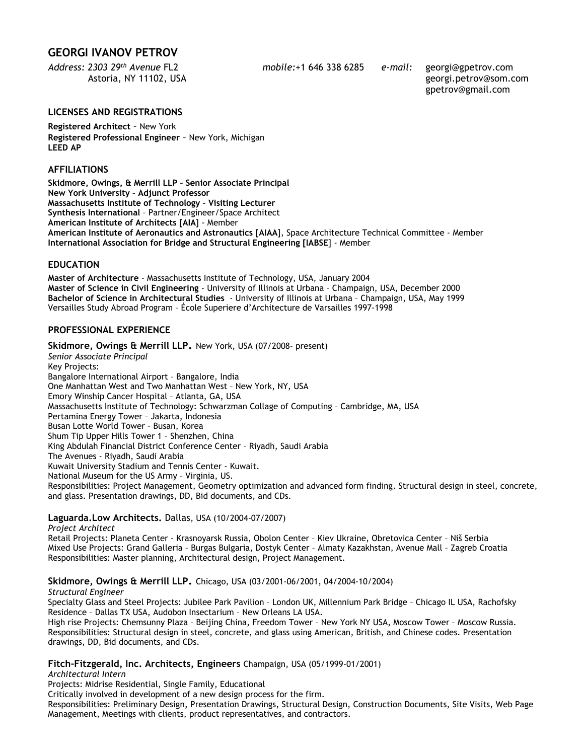# **GEORGI IVANOV PETROV**

*Address: 2303 29th Avenue* FL2 *mobile:*+1 646 338 6285 *e-mail:* georgi@gpetrov.com

 Astoria, NY 11102, USA georgi.petrov@som.com gpetrov@gmail.com

## **LICENSES AND REGISTRATIONS**

**Registered Architect** – New York **Registered Professional Engineer** – New York, Michigan **LEED AP** 

## **AFFILIATIONS**

**Skidmore, Owings, & Merrill LLP – Senior Associate Principal New York University – Adjunct Professor Massachusetts Institute of Technology – Visiting Lecturer Synthesis International** – Partner/Engineer/Space Architect **American Institute of Architects [AIA**] - Member **American Institute of Aeronautics and Astronautics [AIAA**], Space Architecture Technical Committee - Member **International Association for Bridge and Structural Engineering [IABSE**] - Member

### **EDUCATION**

**Master of Architecture** - Massachusetts Institute of Technology, USA, January 2004 **Master of Science in Civil Engineering** - University of Illinois at Urbana – Champaign, USA, December 2000 **Bachelor of Science in Architectural Studies** - University of Illinois at Urbana – Champaign, USA, May 1999 Versailles Study Abroad Program – École Superiere d'Architecture de Varsailles 1997-1998

## **PROFESSIONAL EXPERIENCE**

**Skidmore, Owings & Merrill LLP.** New York, USA (07/2008- present) *Senior Associate Principal*  Key Projects: Bangalore International Airport – Bangalore, India One Manhattan West and Two Manhattan West – New York, NY, USA Emory Winship Cancer Hospital – Atlanta, GA, USA Massachusetts Institute of Technology: Schwarzman Collage of Computing – Cambridge, MA, USA Pertamina Energy Tower – Jakarta, Indonesia Busan Lotte World Tower – Busan, Korea Shum Tip Upper Hills Tower 1 – Shenzhen, China King Abdulah Financial District Conference Center – Riyadh, Saudi Arabia The Avenues - Riyadh, Saudi Arabia Kuwait University Stadium and Tennis Center - Kuwait. National Museum for the US Army – Virginia, US. Responsibilities: Project Management, Geometry optimization and advanced form finding. Structural design in steel, concrete, and glass. Presentation drawings, DD, Bid documents, and CDs.

### **Laguarda.Low Architects.** Dallas, USA (10/2004-07/2007)

*Project Architect* 

Retail Projects: Planeta Center - Krasnoyarsk Russia, Obolon Center – Kiev Ukraine, Obretovica Center – Niš Serbia Mixed Use Projects: Grand Galleria – Burgas Bulgaria, Dostyk Center – Almaty Kazakhstan, Avenue Mall – Zagreb Croatia Responsibilities: Master planning, Architectural design, Project Management.

## **Skidmore, Owings & Merrill LLP.** Chicago, USA (03/2001-06/2001, 04/2004-10/2004)

### *Structural Engineer*

Specialty Glass and Steel Projects: Jubilee Park Pavilion – London UK, Millennium Park Bridge – Chicago IL USA, Rachofsky Residence – Dallas TX USA, Audobon Insectarium – New Orleans LA USA.

High rise Projects: Chemsunny Plaza – Beijing China, Freedom Tower – New York NY USA, Moscow Tower – Moscow Russia. Responsibilities: Structural design in steel, concrete, and glass using American, British, and Chinese codes. Presentation drawings, DD, Bid documents, and CDs.

### **Fitch-Fitzgerald, Inc. Architects, Engineers** Champaign, USA (05/1999-01/2001)

*Architectural Intern* 

Projects: Midrise Residential, Single Family, Educational

Critically involved in development of a new design process for the firm.

Responsibilities: Preliminary Design, Presentation Drawings, Structural Design, Construction Documents, Site Visits, Web Page Management, Meetings with clients, product representatives, and contractors.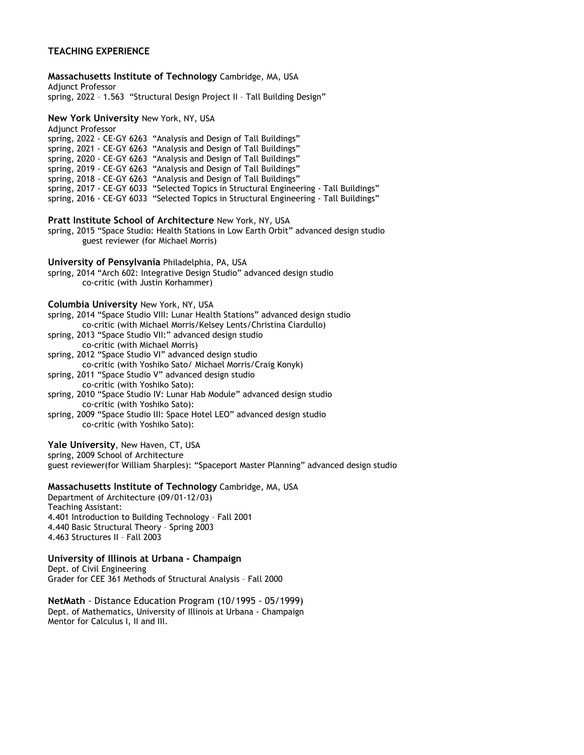## **TEACHING EXPERIENCE**

**Massachusetts Institute of Technology** Cambridge, MA, USA Adjunct Professor spring, 2022 – 1.563 "Structural Design Project II – Tall Building Design" **New York University** New York, NY, USA Adjunct Professor spring, 2022 - CE-GY 6263 "Analysis and Design of Tall Buildings" spring, 2021 - CE-GY 6263 "Analysis and Design of Tall Buildings" spring, 2020 - CE-GY 6263 "Analysis and Design of Tall Buildings" spring, 2019 - CE-GY 6263 "Analysis and Design of Tall Buildings" spring, 2018 - CE-GY 6263 "Analysis and Design of Tall Buildings" spring, 2017 - CE-GY 6033 "Selected Topics in Structural Engineering - Tall Buildings" spring, 2016 - CE-GY 6033 "Selected Topics in Structural Engineering - Tall Buildings" **Pratt Institute School of Architecture** New York, NY, USA spring, 2015 "Space Studio: Health Stations in Low Earth Orbit" advanced design studio guest reviewer (for Michael Morris) **University of Pensylvania** Philadelphia, PA, USA spring, 2014 "Arch 602: Integrative Design Studio" advanced design studio co-critic (with Justin Korhammer) **Columbia University** New York, NY, USA spring, 2014 "Space Studio VIII: Lunar Health Stations" advanced design studio co-critic (with Michael Morris/Kelsey Lents/Christina Ciardullo) spring, 2013 "Space Studio VII:" advanced design studio co-critic (with Michael Morris) spring, 2012 "Space Studio VI" advanced design studio co-critic (with Yoshiko Sato/ Michael Morris/Craig Konyk) spring, 2011 "Space Studio V" advanced design studio co-critic (with Yoshiko Sato): spring, 2010 "Space Studio IV: Lunar Hab Module" advanced design studio co-critic (with Yoshiko Sato): spring, 2009 "Space Studio lII: Space Hotel LEO" advanced design studio co-critic (with Yoshiko Sato): **Yale University**, New Haven, CT, USA spring, 2009 School of Architecture guest reviewer(for William Sharples): "Spaceport Master Planning" advanced design studio **Massachusetts Institute of Technology** Cambridge, MA, USA Department of Architecture (09/01-12/03) Teaching Assistant: 4.401 Introduction to Building Technology – Fall 2001 4.440 Basic Structural Theory – Spring 2003 4.463 Structures II – Fall 2003 **University of Illinois at Urbana - Champaign**  Dept. of Civil Engineering Grader for CEE 361 Methods of Structural Analysis – Fall 2000

**NetMath** - Distance Education Program (10/1995 - 05/1999) Dept. of Mathematics, University of Illinois at Urbana - Champaign Mentor for Calculus I, II and III.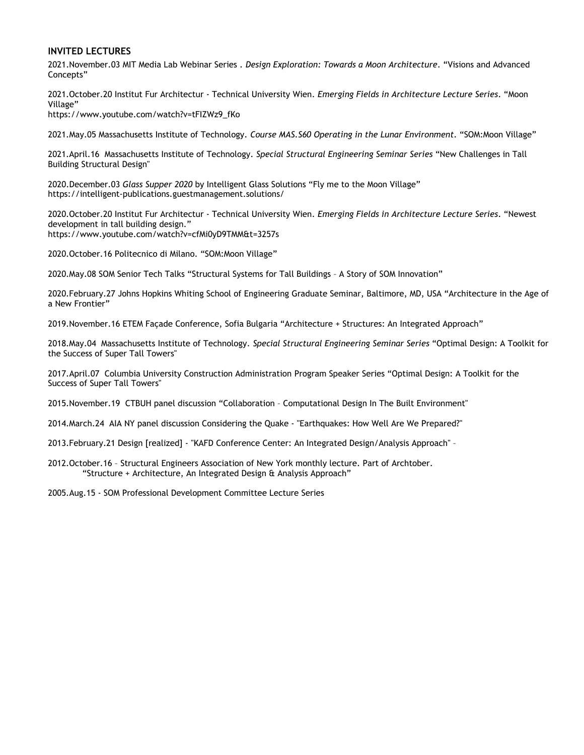### **INVITED LECTURES**

2021.November.03 MIT Media Lab Webinar Series . *Design Exploration: Towards a Moon Architecture*. "Visions and Advanced Concepts"

2021.October.20 Institut Fur Architectur - Technical University Wien. *Emerging Fields in Architecture Lecture Series*. "Moon Village"

https://www.youtube.com/watch?v=tFIZWz9\_fKo

2021.May.05 Massachusetts Institute of Technology. *Course MAS.S60 Operating in the Lunar Environment*. "SOM:Moon Village"

2021.April.16 Massachusetts Institute of Technology. *Special Structural Engineering Seminar Series* "New Challenges in Tall Building Structural Design"

2020.December.03 *Glass Supper 2020* by Intelligent Glass Solutions "Fly me to the Moon Village" https://intelligent-publications.guestmanagement.solutions/

2020.October.20 Institut Fur Architectur - Technical University Wien. *Emerging Fields in Architecture Lecture Series*. "Newest development in tall building design." https://www.youtube.com/watch?v=cfMi0yD9TMM&t=3257s

2020.October.16 Politecnico di Milano. "SOM:Moon Village"

2020.May.08 SOM Senior Tech Talks "Structural Systems for Tall Buildings – A Story of SOM Innovation"

2020.February.27 Johns Hopkins Whiting School of Engineering Graduate Seminar, Baltimore, MD, USA "Architecture in the Age of a New Frontier"

2019.November.16 ETEM Façade Conference, Sofia Bulgaria "Architecture + Structures: An Integrated Approach"

2018.May.04 Massachusetts Institute of Technology. *Special Structural Engineering Seminar Series* "Optimal Design: A Toolkit for the Success of Super Tall Towers"

2017.April.07 Columbia University Construction Administration Program Speaker Series "Optimal Design: A Toolkit for the Success of Super Tall Towers"

2015.November.19 CTBUH panel discussion "Collaboration – Computational Design In The Built Environment"

2014.March.24 AIA NY panel discussion Considering the Quake - "Earthquakes: How Well Are We Prepared?"

2013.February.21 Design [realized] - "KAFD Conference Center: An Integrated Design/Analysis Approach" –

2012.October.16 – Structural Engineers Association of New York monthly lecture. Part of Archtober. "Structure + Architecture, An Integrated Design & Analysis Approach"

2005.Aug.15 - SOM Professional Development Committee Lecture Series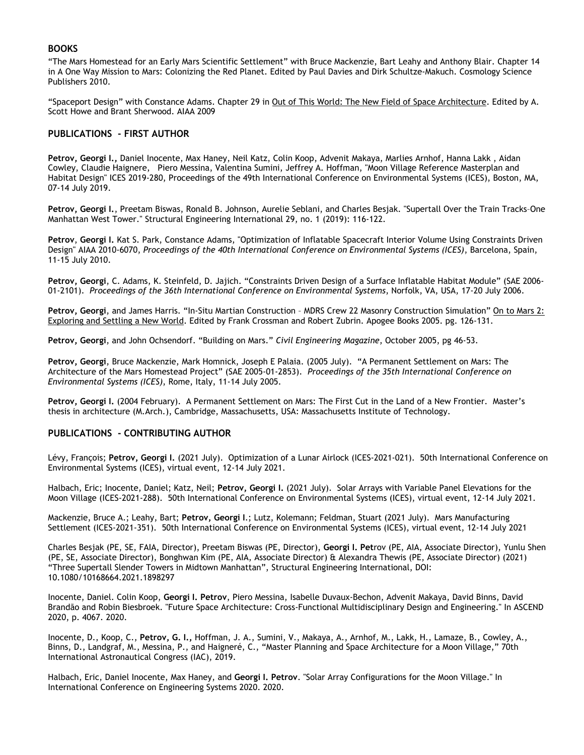## **BOOKS**

"The Mars Homestead for an Early Mars Scientific Settlement" with Bruce Mackenzie, Bart Leahy and Anthony Blair. Chapter 14 in A One Way Mission to Mars: Colonizing the Red Planet. Edited by Paul Davies and Dirk Schultze-Makuch. Cosmology Science Publishers 2010.

"Spaceport Design" with Constance Adams. Chapter 29 in Out of This World: The New Field of Space Architecture. Edited by A. Scott Howe and Brant Sherwood. AIAA 2009

#### **PUBLICATIONS - FIRST AUTHOR**

**Petrov, Georgi I.,** Daniel Inocente, Max Haney, Neil Katz, Colin Koop, Advenit Makaya, Marlies Arnhof, Hanna Lakk , Aidan Cowley, Claudie Haignere, Piero Messina, Valentina Sumini, Jeffrey A. Hoffman, "Moon Village Reference Masterplan and Habitat Design" ICES 2019-280, Proceedings of the 49th International Conference on Environmental Systems (ICES), Boston, MA, 07-14 July 2019.

**Petrov, Georgi I.**, Preetam Biswas, Ronald B. Johnson, Aurelie Seblani, and Charles Besjak. "Supertall Over the Train Tracks–One Manhattan West Tower." Structural Engineering International 29, no. 1 (2019): 116-122.

**Petrov**, **Georgi I.** Kat S. Park, Constance Adams, "Optimization of Inflatable Spacecraft Interior Volume Using Constraints Driven Design" AIAA 2010-6070, *Proceedings of the 40th International Conference on Environmental Systems (ICES)*, Barcelona, Spain, 11-15 July 2010.

**Petrov, Georgi**, C. Adams, K. Steinfeld, D. Jajich. "Constraints Driven Design of a Surface Inflatable Habitat Module" (SAE 2006- 01-2101). *Proceedings of the 36th International Conference on Environmental Systems*, Norfolk, VA, USA, 17-20 July 2006.

**Petrov, Georgi**, and James Harris. "In-Situ Martian Construction – MDRS Crew 22 Masonry Construction Simulation" On to Mars 2: Exploring and Settling a New World. Edited by Frank Crossman and Robert Zubrin. Apogee Books 2005. pg. 126-131.

**Petrov, Georgi**, and John Ochsendorf. "Building on Mars." *Civil Engineering Magazine*, October 2005, pg 46-53.

**Petrov, Georgi**, Bruce Mackenzie, Mark Homnick, Joseph E Palaia. (2005 July). "A Permanent Settlement on Mars: The Architecture of the Mars Homestead Project" (SAE 2005-01-2853). *Proceedings of the 35th International Conference on Environmental Systems (ICES)*, Rome, Italy, 11-14 July 2005.

**Petrov, Georgi I.** (2004 February). A Permanent Settlement on Mars: The First Cut in the Land of a New Frontier. Master's thesis in architecture (M.Arch.), Cambridge, Massachusetts, USA: Massachusetts Institute of Technology.

### **PUBLICATIONS - CONTRIBUTING AUTHOR**

Lévy, François; **Petrov, Georgi I.** (2021 July). Optimization of a Lunar Airlock (ICES-2021-021). 50th International Conference on Environmental Systems (ICES), virtual event, 12-14 July 2021.

Halbach, Eric; Inocente, Daniel; Katz, Neil; **Petrov, Georgi I.** (2021 July). Solar Arrays with Variable Panel Elevations for the Moon Village (ICES-2021-288). 50th International Conference on Environmental Systems (ICES), virtual event, 12-14 July 2021.

Mackenzie, Bruce A.; Leahy, Bart; **Petrov, Georgi I**.; Lutz, Kolemann; Feldman, Stuart (2021 July). Mars Manufacturing Settlement (ICES-2021-351). 50th International Conference on Environmental Systems (ICES), virtual event, 12-14 July 2021

Charles Besjak (PE, SE, FAIA, Director), Preetam Biswas (PE, Director), **Georgi I. Pet**rov (PE, AIA, Associate Director), Yunlu Shen (PE, SE, Associate Director), Bonghwan Kim (PE, AIA, Associate Director) & Alexandra Thewis (PE, Associate Director) (2021) "Three Supertall Slender Towers in Midtown Manhattan", Structural Engineering International, DOI: 10.1080/10168664.2021.1898297

Inocente, Daniel. Colin Koop, **Georgi I. Petrov**, Piero Messina, Isabelle Duvaux-Bechon, Advenit Makaya, David Binns, David Brandão and Robin Biesbroek. "Future Space Architecture: Cross-Functional Multidisciplinary Design and Engineering." In ASCEND 2020, p. 4067. 2020.

Inocente, D., Koop, C., **Petrov, G. I.,** Hoffman, J. A., Sumini, V., Makaya, A., Arnhof, M., Lakk, H., Lamaze, B., Cowley, A., Binns, D., Landgraf, M., Messina, P., and Haigneré, C., "Master Planning and Space Architecture for a Moon Village," 70th International Astronautical Congress (IAC), 2019.

Halbach, Eric, Daniel Inocente, Max Haney, and **Georgi I. Petrov**. "Solar Array Configurations for the Moon Village." In International Conference on Engineering Systems 2020. 2020.